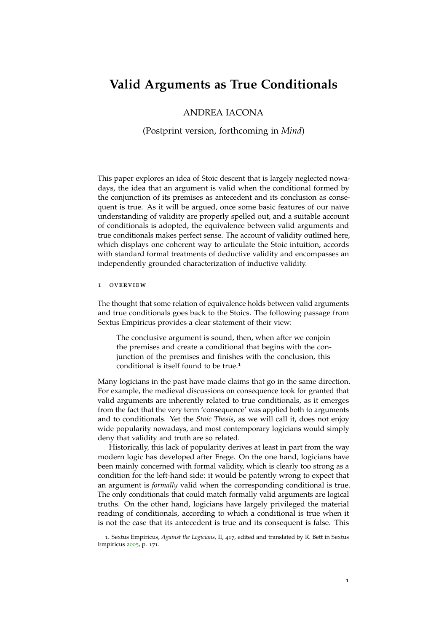# <span id="page-0-1"></span>**Valid Arguments as True Conditionals**

## ANDREA IACONA

(Postprint version, forthcoming in *Mind*)

This paper explores an idea of Stoic descent that is largely neglected nowadays, the idea that an argument is valid when the conditional formed by the conjunction of its premises as antecedent and its conclusion as consequent is true. As it will be argued, once some basic features of our naïve understanding of validity are properly spelled out, and a suitable account of conditionals is adopted, the equivalence between valid arguments and true conditionals makes perfect sense. The account of validity outlined here, which displays one coherent way to articulate the Stoic intuition, accords with standard formal treatments of deductive validity and encompasses an independently grounded characterization of inductive validity.

## <span id="page-0-0"></span>1 overview

The thought that some relation of equivalence holds between valid arguments and true conditionals goes back to the Stoics. The following passage from Sextus Empiricus provides a clear statement of their view:

The conclusive argument is sound, then, when after we conjoin the premises and create a conditional that begins with the conjunction of the premises and finishes with the conclusion, this conditional is itself found to be true.<sup>1</sup>

Many logicians in the past have made claims that go in the same direction. For example, the medieval discussions on consequence took for granted that valid arguments are inherently related to true conditionals, as it emerges from the fact that the very term 'consequence' was applied both to arguments and to conditionals. Yet the *Stoic Thesis*, as we will call it, does not enjoy wide popularity nowadays, and most contemporary logicians would simply deny that validity and truth are so related.

Historically, this lack of popularity derives at least in part from the way modern logic has developed after Frege. On the one hand, logicians have been mainly concerned with formal validity, which is clearly too strong as a condition for the left-hand side: it would be patently wrong to expect that an argument is *formally* valid when the corresponding conditional is true. The only conditionals that could match formally valid arguments are logical truths. On the other hand, logicians have largely privileged the material reading of conditionals, according to which a conditional is true when it is not the case that its antecedent is true and its consequent is false. This

<sup>1</sup>. Sextus Empiricus, *Against the Logicians*, II, 417, edited and translated by R. Bett in Sextus Empiricus [2005](#page-18-0), p. 171.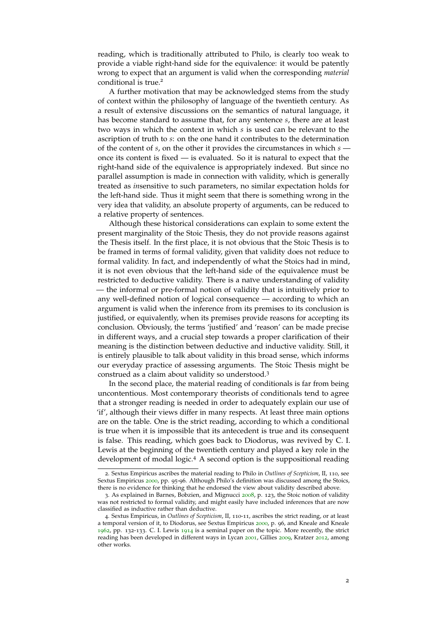reading, which is traditionally attributed to Philo, is clearly too weak to provide a viable right-hand side for the equivalence: it would be patently wrong to expect that an argument is valid when the corresponding *material* conditional is true.<sup>2</sup>

A further motivation that may be acknowledged stems from the study of context within the philosophy of language of the twentieth century. As a result of extensive discussions on the semantics of natural language, it has become standard to assume that, for any sentence *s*, there are at least two ways in which the context in which *s* is used can be relevant to the ascription of truth to *s*: on the one hand it contributes to the determination of the content of *s*, on the other it provides the circumstances in which *s* once its content is fixed — is evaluated. So it is natural to expect that the right-hand side of the equivalence is appropriately indexed. But since no parallel assumption is made in connection with validity, which is generally treated as *in*sensitive to such parameters, no similar expectation holds for the left-hand side. Thus it might seem that there is something wrong in the very idea that validity, an absolute property of arguments, can be reduced to a relative property of sentences.

Although these historical considerations can explain to some extent the present marginality of the Stoic Thesis, they do not provide reasons against the Thesis itself. In the first place, it is not obvious that the Stoic Thesis is to be framed in terms of formal validity, given that validity does not reduce to formal validity. In fact, and independently of what the Stoics had in mind, it is not even obvious that the left-hand side of the equivalence must be restricted to deductive validity. There is a naïve understanding of validity — the informal or pre-formal notion of validity that is intuitively prior to any well-defined notion of logical consequence — according to which an argument is valid when the inference from its premises to its conclusion is justified, or equivalently, when its premises provide reasons for accepting its conclusion. Obviously, the terms 'justified' and 'reason' can be made precise in different ways, and a crucial step towards a proper clarification of their meaning is the distinction between deductive and inductive validity. Still, it is entirely plausible to talk about validity in this broad sense, which informs our everyday practice of assessing arguments. The Stoic Thesis might be construed as a claim about validity so understood.<sup>3</sup>

In the second place, the material reading of conditionals is far from being uncontentious. Most contemporary theorists of conditionals tend to agree that a stronger reading is needed in order to adequately explain our use of 'if', although their views differ in many respects. At least three main options are on the table. One is the strict reading, according to which a conditional is true when it is impossible that its antecedent is true and its consequent is false. This reading, which goes back to Diodorus, was revived by C. I. Lewis at the beginning of the twentieth century and played a key role in the development of modal logic.<sup>4</sup> A second option is the suppositional reading

<sup>2</sup>. Sextus Empiricus ascribes the material reading to Philo in *Outlines of Scepticism*, II, 110, see Sextus Empiricus [2000](#page-18-1), pp. 95-96. Although Philo's definition was discussed among the Stoics, there is no evidence for thinking that he endorsed the view about validity described above.

<sup>3</sup>. As explained in Barnes, Bobzien, and Mignucci [2008](#page-16-0), p. 123, the Stoic notion of validity was not restricted to formal validity, and might easily have included inferences that are now classified as inductive rather than deductive.

<sup>4</sup>. Sextus Empiricus, in *Outlines of Scepticism*, II, 110-11, ascribes the strict reading, or at least a temporal version of it, to Diodorus, see Sextus Empiricus [2000](#page-18-1), p. 96, and Kneale and Kneale [1962](#page-17-0), pp. 132-133. C. I. Lewis [1914](#page-17-1) is a seminal paper on the topic. More recently, the strict reading has been developed in different ways in Lycan [2001](#page-17-2), Gillies [2009](#page-17-3), Kratzer [2012](#page-17-4), among other works.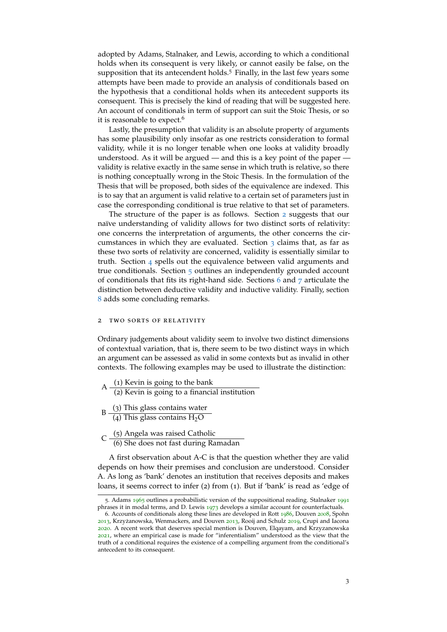adopted by Adams, Stalnaker, and Lewis, according to which a conditional holds when its consequent is very likely, or cannot easily be false, on the supposition that its antecendent holds.<sup>5</sup> Finally, in the last few years some attempts have been made to provide an analysis of conditionals based on the hypothesis that a conditional holds when its antecedent supports its consequent. This is precisely the kind of reading that will be suggested here. An account of conditionals in term of support can suit the Stoic Thesis, or so it is reasonable to expect.<sup>6</sup>

Lastly, the presumption that validity is an absolute property of arguments has some plausibility only insofar as one restricts consideration to formal validity, while it is no longer tenable when one looks at validity broadly understood. As it will be argued — and this is a key point of the paper validity is relative exactly in the same sense in which truth is relative, so there is nothing conceptually wrong in the Stoic Thesis. In the formulation of the Thesis that will be proposed, both sides of the equivalence are indexed. This is to say that an argument is valid relative to a certain set of parameters just in case the corresponding conditional is true relative to that set of parameters.

The structure of the paper is as follows. Section [2](#page-2-0) suggests that our naïve understanding of validity allows for two distinct sorts of relativity: one concerns the interpretation of arguments, the other concerns the circumstances in which they are evaluated. Section  $\frac{1}{3}$  $\frac{1}{3}$  $\frac{1}{3}$  claims that, as far as these two sorts of relativity are concerned, validity is essentially similar to truth. Section [4](#page-6-0) spells out the equivalence between valid arguments and true conditionals. Section [5](#page-8-0) outlines an independently grounded account of conditionals that fits its right-hand side. Sections  $6$  and  $7$  articulate the distinction between deductive validity and inductive validity. Finally, section [8](#page-15-0) adds some concluding remarks.

## <span id="page-2-0"></span>2 two sorts of relativity

Ordinary judgements about validity seem to involve two distinct dimensions of contextual variation, that is, there seem to be two distinct ways in which an argument can be assessed as valid in some contexts but as invalid in other contexts. The following examples may be used to illustrate the distinction:

- $A \frac{(1)$  Kevin is going to the bank (2) Kevin is going to a financial institution
- $B \frac{(3)$  This glass contains water  $(4)$  This glass contains  $H_2O$
- $C \frac{(5) \text{ Angela was raised Catholic}}{(6) \text{ She does not fact during Be}}$ (6) She does not fast during Ramadan

A first observation about A-C is that the question whether they are valid depends on how their premises and conclusion are understood. Consider A. As long as 'bank' denotes an institution that receives deposits and makes loans, it seems correct to infer (2) from (1). But if 'bank' is read as 'edge of

<sup>5.</sup> Adams [1965](#page-16-1) outlines a probabilistic version of the suppositional reading. Stalnaker [1991](#page-18-2) phrases it in modal terms, and D. Lewis [1973](#page-17-5) develops a similar account for counterfactuals.

<sup>6</sup>. Accounts of conditionals along these lines are developed in Rott [1986](#page-17-6), Douven [2008](#page-17-7), Spohn [2013](#page-17-8), Krzyżanowska, Wenmackers, and Douven 2013, Rooij and Schulz [2019](#page-17-9), Crupi and Iacona [2020](#page-17-10). A recent work that deserves special mention is Douven, Elqayam, and Krzyzanowska [2021](#page-17-11), where an empirical case is made for "inferentialism" understood as the view that the truth of a conditional requires the existence of a compelling argument from the conditional's antecedent to its consequent.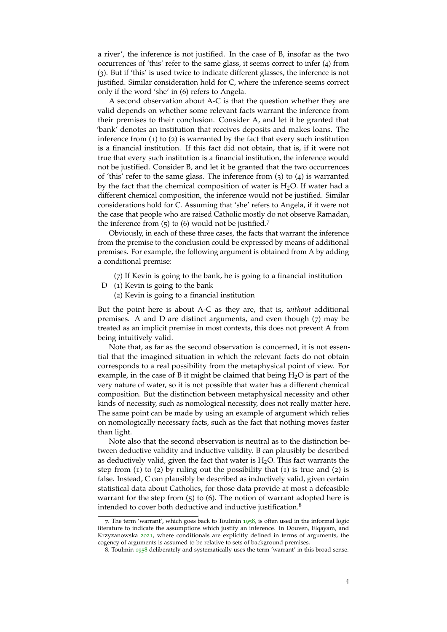a river', the inference is not justified. In the case of B, insofar as the two occurrences of 'this' refer to the same glass, it seems correct to infer (4) from (3). But if 'this' is used twice to indicate different glasses, the inference is not justified. Similar consideration hold for C, where the inference seems correct only if the word 'she' in (6) refers to Angela.

A second observation about A-C is that the question whether they are valid depends on whether some relevant facts warrant the inference from their premises to their conclusion. Consider A, and let it be granted that 'bank' denotes an institution that receives deposits and makes loans. The inference from (1) to (2) is warranted by the fact that every such institution is a financial institution. If this fact did not obtain, that is, if it were not true that every such institution is a financial institution, the inference would not be justified. Consider B, and let it be granted that the two occurrences of 'this' refer to the same glass. The inference from (3) to (4) is warranted by the fact that the chemical composition of water is  $H_2O$ . If water had a different chemical composition, the inference would not be justified. Similar considerations hold for C. Assuming that 'she' refers to Angela, if it were not the case that people who are raised Catholic mostly do not observe Ramadan, the inference from (5) to (6) would not be justified.<sup>7</sup>

Obviously, in each of these three cases, the facts that warrant the inference from the premise to the conclusion could be expressed by means of additional premises. For example, the following argument is obtained from A by adding a conditional premise:

- (7) If Kevin is going to the bank, he is going to a financial institution
- D (1) Kevin is going to the bank
	- (2) Kevin is going to a financial institution

But the point here is about A-C as they are, that is, *without* additional premises. A and D are distinct arguments, and even though (7) may be treated as an implicit premise in most contexts, this does not prevent A from being intuitively valid.

Note that, as far as the second observation is concerned, it is not essential that the imagined situation in which the relevant facts do not obtain corresponds to a real possibility from the metaphysical point of view. For example, in the case of B it might be claimed that being  $H_2O$  is part of the very nature of water, so it is not possible that water has a different chemical composition. But the distinction between metaphysical necessity and other kinds of necessity, such as nomological necessity, does not really matter here. The same point can be made by using an example of argument which relies on nomologically necessary facts, such as the fact that nothing moves faster than light.

Note also that the second observation is neutral as to the distinction between deductive validity and inductive validity. B can plausibly be described as deductively valid, given the fact that water is  $H_2O$ . This fact warrants the step from  $(1)$  to  $(2)$  by ruling out the possibility that  $(1)$  is true and  $(2)$  is false. Instead, C can plausibly be described as inductively valid, given certain statistical data about Catholics, for those data provide at most a defeasible warrant for the step from  $(5)$  to  $(6)$ . The notion of warrant adopted here is intended to cover both deductive and inductive justification.<sup>8</sup>

<sup>7</sup>. The term 'warrant', which goes back to Toulmin [1958](#page-18-4), is often used in the informal logic literature to indicate the assumptions which justify an inference. In Douven, Elqayam, and Krzyzanowska [2021](#page-17-11), where conditionals are explicitly defined in terms of arguments, the cogency of arguments is assumed to be relative to sets of background premises.

<sup>8</sup>. Toulmin [1958](#page-18-4) deliberately and systematically uses the term 'warrant' in this broad sense.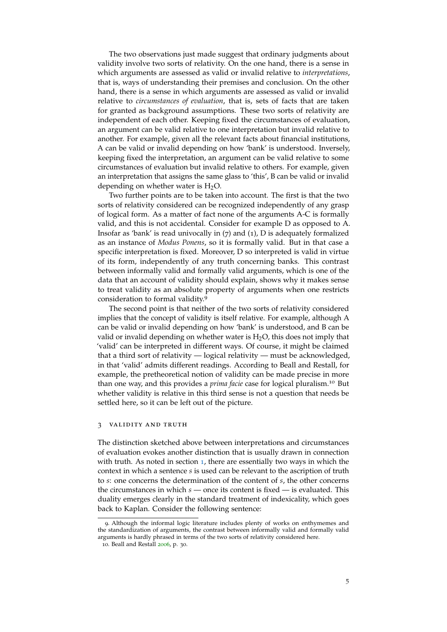The two observations just made suggest that ordinary judgments about validity involve two sorts of relativity. On the one hand, there is a sense in which arguments are assessed as valid or invalid relative to *interpretations*, that is, ways of understanding their premises and conclusion. On the other hand, there is a sense in which arguments are assessed as valid or invalid relative to *circumstances of evaluation*, that is, sets of facts that are taken for granted as background assumptions. These two sorts of relativity are independent of each other. Keeping fixed the circumstances of evaluation, an argument can be valid relative to one interpretation but invalid relative to another. For example, given all the relevant facts about financial institutions, A can be valid or invalid depending on how 'bank' is understood. Inversely, keeping fixed the interpretation, an argument can be valid relative to some circumstances of evaluation but invalid relative to others. For example, given an interpretation that assigns the same glass to 'this', B can be valid or invalid depending on whether water is  $H_2O$ .

Two further points are to be taken into account. The first is that the two sorts of relativity considered can be recognized independently of any grasp of logical form. As a matter of fact none of the arguments A-C is formally valid, and this is not accidental. Consider for example D as opposed to A. Insofar as 'bank' is read univocally in (7) and (1), D is adequately formalized as an instance of *Modus Ponens*, so it is formally valid. But in that case a specific interpretation is fixed. Moreover, D so interpreted is valid in virtue of its form, independently of any truth concerning banks. This contrast between informally valid and formally valid arguments, which is one of the data that an account of validity should explain, shows why it makes sense to treat validity as an absolute property of arguments when one restricts consideration to formal validity.<sup>9</sup>

The second point is that neither of the two sorts of relativity considered implies that the concept of validity is itself relative. For example, although A can be valid or invalid depending on how 'bank' is understood, and B can be valid or invalid depending on whether water is  $H<sub>2</sub>O$ , this does not imply that 'valid' can be interpreted in different ways. Of course, it might be claimed that a third sort of relativity — logical relativity — must be acknowledged, in that 'valid' admits different readings. According to Beall and Restall, for example, the pretheoretical notion of validity can be made precise in more than one way, and this provides a *prima facie* case for logical pluralism.<sup>10</sup> But whether validity is relative in this third sense is not a question that needs be settled here, so it can be left out of the picture.

#### <span id="page-4-0"></span>3 validity and truth

The distinction sketched above between interpretations and circumstances of evaluation evokes another distinction that is usually drawn in connection with truth. As noted in section  $1$ , there are essentially two ways in which the context in which a sentence *s* is used can be relevant to the ascription of truth to *s*: one concerns the determination of the content of *s*, the other concerns the circumstances in which  $s$  — once its content is fixed — is evaluated. This duality emerges clearly in the standard treatment of indexicality, which goes back to Kaplan. Consider the following sentence:

<sup>9</sup>. Although the informal logic literature includes plenty of works on enthymemes and the standardization of arguments, the contrast between informally valid and formally valid arguments is hardly phrased in terms of the two sorts of relativity considered here.

<sup>10</sup>. Beall and Restall [2006](#page-16-2), p. 30.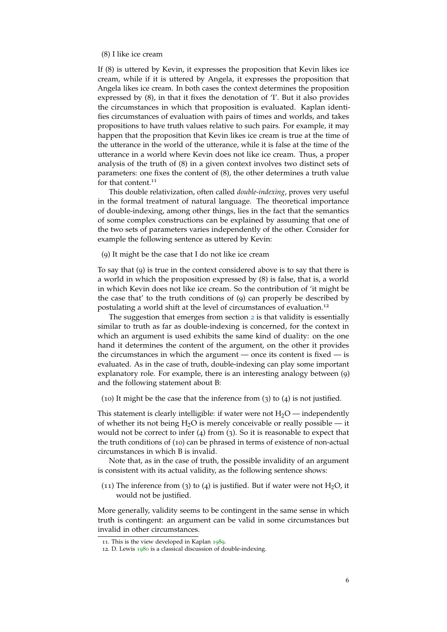## (8) I like ice cream

If (8) is uttered by Kevin, it expresses the proposition that Kevin likes ice cream, while if it is uttered by Angela, it expresses the proposition that Angela likes ice cream. In both cases the context determines the proposition expressed by (8), in that it fixes the denotation of 'I'. But it also provides the circumstances in which that proposition is evaluated. Kaplan identifies circumstances of evaluation with pairs of times and worlds, and takes propositions to have truth values relative to such pairs. For example, it may happen that the proposition that Kevin likes ice cream is true at the time of the utterance in the world of the utterance, while it is false at the time of the utterance in a world where Kevin does not like ice cream. Thus, a proper analysis of the truth of (8) in a given context involves two distinct sets of parameters: one fixes the content of (8), the other determines a truth value for that content.<sup>11</sup>

This double relativization, often called *double-indexing*, proves very useful in the formal treatment of natural language. The theoretical importance of double-indexing, among other things, lies in the fact that the semantics of some complex constructions can be explained by assuming that one of the two sets of parameters varies independently of the other. Consider for example the following sentence as uttered by Kevin:

(9) It might be the case that I do not like ice cream

To say that (9) is true in the context considered above is to say that there is a world in which the proposition expressed by (8) is false, that is, a world in which Kevin does not like ice cream. So the contribution of 'it might be the case that' to the truth conditions of (9) can properly be described by postulating a world shift at the level of circumstances of evaluation.<sup>12</sup>

The suggestion that emerges from section [2](#page-2-0) is that validity is essentially similar to truth as far as double-indexing is concerned, for the context in which an argument is used exhibits the same kind of duality: on the one hand it determines the content of the argument, on the other it provides the circumstances in which the argument — once its content is fixed — is evaluated. As in the case of truth, double-indexing can play some important explanatory role. For example, there is an interesting analogy between (9) and the following statement about B:

(10) It might be the case that the inference from (3) to (4) is not justified.

This statement is clearly intelligible: if water were not  $H_2O$  — independently of whether its not being  $H_2O$  is merely conceivable or really possible — it would not be correct to infer (4) from (3). So it is reasonable to expect that the truth conditions of (10) can be phrased in terms of existence of non-actual circumstances in which B is invalid.

Note that, as in the case of truth, the possible invalidity of an argument is consistent with its actual validity, as the following sentence shows:

(11) The inference from (3) to (4) is justified. But if water were not  $H_2O$ , it would not be justified.

More generally, validity seems to be contingent in the same sense in which truth is contingent: an argument can be valid in some circumstances but invalid in other circumstances.

<sup>11</sup>. This is the view developed in Kaplan [1989](#page-17-12).

<sup>12</sup>. D. Lewis [1980](#page-17-13) is a classical discussion of double-indexing.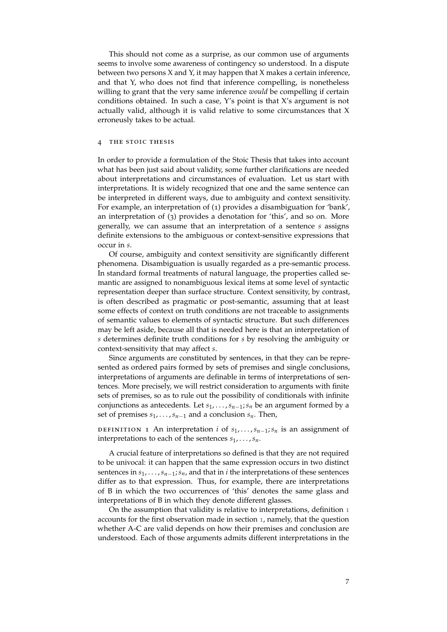This should not come as a surprise, as our common use of arguments seems to involve some awareness of contingency so understood. In a dispute between two persons X and Y, it may happen that X makes a certain inference, and that Y, who does not find that inference compelling, is nonetheless willing to grant that the very same inference *would* be compelling if certain conditions obtained. In such a case, Y's point is that X's argument is not actually valid, although it is valid relative to some circumstances that X erroneusly takes to be actual.

#### <span id="page-6-0"></span>THE STOIC THESIS

In order to provide a formulation of the Stoic Thesis that takes into account what has been just said about validity, some further clarifications are needed about interpretations and circumstances of evaluation. Let us start with interpretations. It is widely recognized that one and the same sentence can be interpreted in different ways, due to ambiguity and context sensitivity. For example, an interpretation of (1) provides a disambiguation for 'bank', an interpretation of (3) provides a denotation for 'this', and so on. More generally, we can assume that an interpretation of a sentence *s* assigns definite extensions to the ambiguous or context-sensitive expressions that occur in *s*.

Of course, ambiguity and context sensitivity are significantly different phenomena. Disambiguation is usually regarded as a pre-semantic process. In standard formal treatments of natural language, the properties called semantic are assigned to nonambiguous lexical items at some level of syntactic representation deeper than surface structure. Context sensitivity, by contrast, is often described as pragmatic or post-semantic, assuming that at least some effects of context on truth conditions are not traceable to assignments of semantic values to elements of syntactic structure. But such differences may be left aside, because all that is needed here is that an interpretation of *s* determines definite truth conditions for *s* by resolving the ambiguity or context-sensitivity that may affect *s*.

Since arguments are constituted by sentences, in that they can be represented as ordered pairs formed by sets of premises and single conclusions, interpretations of arguments are definable in terms of interpretations of sentences. More precisely, we will restrict consideration to arguments with finite sets of premises, so as to rule out the possibility of conditionals with infinite conjunctions as antecedents. Let *s*1, . . . ,*sn*−1;*s<sup>n</sup>* be an argument formed by a set of premises  $s_1, \ldots, s_{n-1}$  and a conclusion  $s_n$ . Then,

<span id="page-6-1"></span>DEFINITION 1 An interpretation *i* of  $s_1, \ldots, s_{n-1}$ ;  $s_n$  is an assignment of interpretations to each of the sentences  $s_1, \ldots, s_n$ .

A crucial feature of interpretations so defined is that they are not required to be univocal: it can happen that the same expression occurs in two distinct sentences in  $s_1$ , . . . ,  $s_{n-1}$ ;  $s_n$ , and that in *i* the interpretations of these sentences differ as to that expression. Thus, for example, there are interpretations of B in which the two occurrences of 'this' denotes the same glass and interpretations of B in which they denote different glasses.

On the assumption that validity is relative to interpretations, definition [1](#page-6-1) accounts for the first observation made in section [1](#page-0-0), namely, that the question whether A-C are valid depends on how their premises and conclusion are understood. Each of those arguments admits different interpretations in the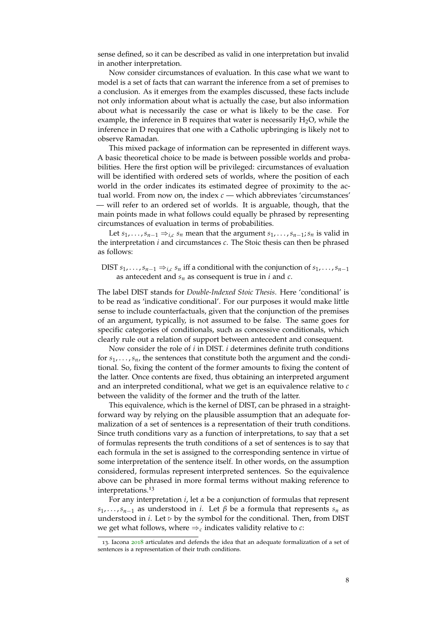sense defined, so it can be described as valid in one interpretation but invalid in another interpretation.

Now consider circumstances of evaluation. In this case what we want to model is a set of facts that can warrant the inference from a set of premises to a conclusion. As it emerges from the examples discussed, these facts include not only information about what is actually the case, but also information about what is necessarily the case or what is likely to be the case. For example, the inference in B requires that water is necessarily  $H_2O$ , while the inference in D requires that one with a Catholic upbringing is likely not to observe Ramadan.

This mixed package of information can be represented in different ways. A basic theoretical choice to be made is between possible worlds and probabilities. Here the first option will be privileged: circumstances of evaluation will be identified with ordered sets of worlds, where the position of each world in the order indicates its estimated degree of proximity to the actual world. From now on, the index *c* — which abbreviates 'circumstances' — will refer to an ordered set of worlds. It is arguable, though, that the main points made in what follows could equally be phrased by representing circumstances of evaluation in terms of probabilities.

Let *s*<sub>1</sub>, . . . , *s*<sub>*n*−1</sub>  $\Rightarrow$  *i*,*c s*<sub>*n*</sub> mean that the argument *s*<sub>1</sub>, . . . , *s*<sub>*n*−1</sub>; *s*<sub>*n*</sub> is valid in the interpretation *i* and circumstances *c*. The Stoic thesis can then be phrased as follows:

DIST  $s_1, \ldots, s_{n-1} \Rightarrow_{i,c} s_n$  iff a conditional with the conjunction of  $s_1, \ldots, s_{n-1}$ as antecedent and *s<sup>n</sup>* as consequent is true in *i* and *c*.

The label DIST stands for *Double-Indexed Stoic Thesis*. Here 'conditional' is to be read as 'indicative conditional'. For our purposes it would make little sense to include counterfactuals, given that the conjunction of the premises of an argument, typically, is not assumed to be false. The same goes for specific categories of conditionals, such as concessive conditionals, which clearly rule out a relation of support between antecedent and consequent.

Now consider the role of *i* in DIST. *i* determines definite truth conditions for  $s_1, \ldots, s_n$ , the sentences that constitute both the argument and the conditional. So, fixing the content of the former amounts to fixing the content of the latter. Once contents are fixed, thus obtaining an interpreted argument and an interpreted conditional, what we get is an equivalence relative to *c* between the validity of the former and the truth of the latter.

This equivalence, which is the kernel of DIST, can be phrased in a straightforward way by relying on the plausible assumption that an adequate formalization of a set of sentences is a representation of their truth conditions. Since truth conditions vary as a function of interpretations, to say that a set of formulas represents the truth conditions of a set of sentences is to say that each formula in the set is assigned to the corresponding sentence in virtue of some interpretation of the sentence itself. In other words, on the assumption considered, formulas represent interpreted sentences. So the equivalence above can be phrased in more formal terms without making reference to interpretations.<sup>13</sup>

For any interpretation *i*, let *α* be a conjunction of formulas that represent  $s_1, \ldots, s_{n-1}$  as understood in *i*. Let  $\beta$  be a formula that represents  $s_n$  as understood in  $i$ . Let  $\triangleright$  by the symbol for the conditional. Then, from DIST we get what follows, where  $\Rightarrow$ <sub>c</sub> indicates validity relative to *c*:

<sup>13</sup>. Iacona [2018](#page-17-14) articulates and defends the idea that an adequate formalization of a set of sentences is a representation of their truth conditions.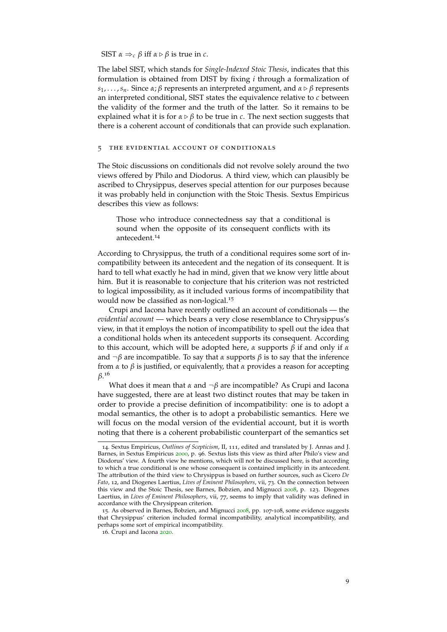SIST  $\alpha \Rightarrow_c \beta$  iff  $\alpha \triangleright \beta$  is true in *c*.

The label SIST, which stands for *Single-Indexed Stoic Thesis*, indicates that this formulation is obtained from DIST by fixing *i* through a formalization of *s*1, . . . ,*sn*. Since *α*; *β* represents an interpreted argument, and *α* ▷ *β* represents an interpreted conditional, SIST states the equivalence relative to *c* between the validity of the former and the truth of the latter. So it remains to be explained what it is for  $\alpha \triangleright \beta$  to be true in *c*. The next section suggests that there is a coherent account of conditionals that can provide such explanation.

#### <span id="page-8-0"></span>5 the evidential account of conditionals

The Stoic discussions on conditionals did not revolve solely around the two views offered by Philo and Diodorus. A third view, which can plausibly be ascribed to Chrysippus, deserves special attention for our purposes because it was probably held in conjunction with the Stoic Thesis. Sextus Empiricus describes this view as follows:

Those who introduce connectedness say that a conditional is sound when the opposite of its consequent conflicts with its antecedent.<sup>14</sup>

According to Chrysippus, the truth of a conditional requires some sort of incompatibility between its antecedent and the negation of its consequent. It is hard to tell what exactly he had in mind, given that we know very little about him. But it is reasonable to conjecture that his criterion was not restricted to logical impossibility, as it included various forms of incompatibility that would now be classified as non-logical.<sup>15</sup>

Crupi and Iacona have recently outlined an account of conditionals — the *evidential account* — which bears a very close resemblance to Chrysippus's view, in that it employs the notion of incompatibility to spell out the idea that a conditional holds when its antecedent supports its consequent. According to this account, which will be adopted here, *α* supports *β* if and only if *α* and  $\neg \beta$  are incompatible. To say that  $\alpha$  supports  $\beta$  is to say that the inference from *α* to *β* is justified, or equivalently, that *α* provides a reason for accepting *β*. 16

What does it mean that *α* and ¬*β* are incompatible? As Crupi and Iacona have suggested, there are at least two distinct routes that may be taken in order to provide a precise definition of incompatibility: one is to adopt a modal semantics, the other is to adopt a probabilistic semantics. Here we will focus on the modal version of the evidential account, but it is worth noting that there is a coherent probabilistic counterpart of the semantics set

<sup>14</sup>. Sextus Empiricus, *Outlines of Scepticism*, II, 111, edited and translated by J. Annas and J. Barnes, in Sextus Empiricus [2000](#page-18-1), p. 96. Sextus lists this view as third after Philo's view and Diodorus' view. A fourth view he mentions, which will not be discussed here, is that according to which a true conditional is one whose consequent is contained implicitly in its antecedent. The attribution of the third view to Chrysippus is based on further sources, such as Cicero *De Fato*, 12, and Diogenes Laertius, *Lives of Eminent Philosophers*, vii, 73. On the connection between this view and the Stoic Thesis, see Barnes, Bobzien, and Mignucci [2008](#page-16-0), p. 123. Diogenes Laertius, in *Lives of Eminent Philosophers*, vii, 77, seems to imply that validity was defined in accordance with the Chrysippean criterion.

<sup>15</sup>. As observed in Barnes, Bobzien, and Mignucci [2008](#page-16-0), pp. 107-108, some evidence suggests that Chrysippus' criterion included formal incompatibility, analytical incompatibility, and perhaps some sort of empirical incompatibility.

<sup>16</sup>. Crupi and Iacona [2020](#page-17-10).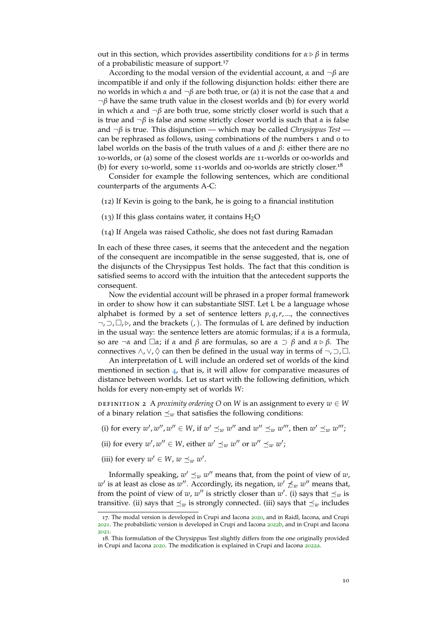out in this section, which provides assertibility conditions for  $\alpha \triangleright \beta$  in terms of a probabilistic measure of support.<sup>17</sup>

According to the modal version of the evidential account, *α* and ¬*β* are incompatible if and only if the following disjunction holds: either there are no worlds in which *α* and ¬*β* are both true, or (a) it is not the case that *α* and ¬*β* have the same truth value in the closest worlds and (b) for every world in which *α* and ¬*β* are both true, some strictly closer world is such that *α* is true and  $\neg \beta$  is false and some strictly closer world is such that  $\alpha$  is false and ¬*β* is true. This disjunction — which may be called *Chrysippus Test* can be rephrased as follows, using combinations of the numbers 1 and 0 to label worlds on the basis of the truth values of *α* and *β*: either there are no 10-worlds, or (a) some of the closest worlds are 11-worlds or 00-worlds and (b) for every 10-world, some 11-worlds and 00-worlds are strictly closer.<sup>18</sup>

Consider for example the following sentences, which are conditional counterparts of the arguments A-C:

(12) If Kevin is going to the bank, he is going to a financial institution

(13) If this glass contains water, it contains  $H_2O$ 

(14) If Angela was raised Catholic, she does not fast during Ramadan

In each of these three cases, it seems that the antecedent and the negation of the consequent are incompatible in the sense suggested, that is, one of the disjuncts of the Chrysippus Test holds. The fact that this condition is satisfied seems to accord with the intuition that the antecedent supports the consequent.

Now the evidential account will be phrased in a proper formal framework in order to show how it can substantiate SIST. Let L be a language whose alphabet is formed by a set of sentence letters  $p, q, r, ...$ , the connectives ¬, ⊃, □, ▷, and the brackets (,). The formulas of L are defined by induction in the usual way: the sentence letters are atomic formulas; if *α* is a formula, so are ¬*α* and □*α*; if *α* and *β* are formulas, so are *α* ⊃ *β* and *α* ▷ *β*. The connectives  $\wedge$ ,  $\vee$ ,  $\Diamond$  can then be defined in the usual way in terms of  $\neg$ ,  $\neg$ ,  $\Box$ .

An interpretation of L will include an ordered set of worlds of the kind mentioned in section [4](#page-6-0), that is, it will allow for comparative measures of distance between worlds. Let us start with the following definition, which holds for every non-empty set of worlds *W*:

definition 2 A *proximity ordering O* on *W* is an assignment to every *w* ∈ *W* of a binary relation  $\preceq_w$  that satisfies the following conditions:

(i) for every  $w'$ ,  $w''$ ,  $w'' \in W$ , if  $w' \preceq_w w''$  and  $w'' \preceq_w w'''$ , then  $w' \preceq_w w'''$ ;

(ii) for every  $w'$ ,  $w'' \in W$ , either  $w' \preceq_w w''$  or  $w'' \preceq_w w'$ ;

(iii) for every  $w' \in W$ ,  $w \preceq_w w'$ .

Informally speaking,  $w' \preceq_w w''$  means that, from the point of view of  $w$ ,  $w'$  is at least as close as  $w''$ . Accordingly, its negation,  $w'\not\preceq_w w''$  means that, from the point of view of *w*, *w*<sup>*''*</sup> is strictly closer than *w*<sup>*'*</sup>. (i) says that  $\preceq_w$  is transitive. (ii) says that  $\preceq_w$  is strongly connected. (iii) says that  $\preceq_w$  includes

<sup>17.</sup> The modal version is developed in Crupi and Iacona [2020](#page-17-10), and in Raidl, Iacona, and Crupi [2021](#page-17-15). The probabilistic version is developed in Crupi and Iacona [2022](#page-17-16)b, and in Crupi and Iacona [2021](#page-17-17).

<sup>18</sup>. This formulation of the Chrysippus Test slightly differs from the one originally provided in Crupi and Iacona [2020](#page-17-10). The modification is explained in Crupi and Iacona [2022](#page-17-18)a.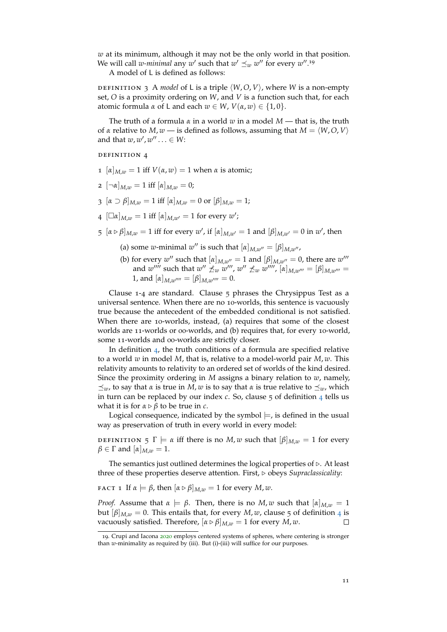*w* at its minimum, although it may not be the only world in that position. We will call *w*-minimal any  $w'$  such that  $w' \preceq_w w''$  for every  $w''$ .<sup>19</sup>

A model of L is defined as follows:

DEFINITION 3 A *model* of L is a triple  $\langle W, O, V \rangle$ , where *W* is a non-empty set, *O* is a proximity ordering on *W*, and *V* is a function such that, for each atomic formula *α* of L and each *w* ∈ *W*, *V*(*α*, *w*) ∈ {1, 0}.

The truth of a formula *α* in a world *w* in a model *M* — that is, the truth of *α* relative to *M*, *w* — is defined as follows, assuming that *M* = ⟨*W*,*O*, *V*⟩ and that  $w, w', w'' \ldots \in W$ :

definition 4

- $1$   $\left[\alpha\right]_{M,w} = 1$  iff  $V(\alpha, w) = 1$  when  $\alpha$  is atomic;
- 2  $[\neg \alpha]_{M,w} = 1$  iff  $[\alpha]_{M,w} = 0$ ;
- 3  $[\alpha \supset \beta]_{M,w} = 1$  iff  $[\alpha]_{M,w} = 0$  or  $[\beta]_{M,w} = 1$ ;
- 4  $[\Box \alpha]_{M,w} = 1$  iff  $[\alpha]_{M,w'} = 1$  for every *w'*;
- $[5 \left[ \alpha \triangleright \beta \right]_{M,w} = 1$  iff for every  $w'$ , if  $[\alpha]_{M,w'} = 1$  and  $[\beta]_{M,w'} = 0$  in  $w'$ , then
	- (a) some *w*-minimal *w*<sup>*''*</sup> is such that  $[\alpha]_{M,w''} = [\beta]_{M,w''}$ ,
	- (b) for every  $w''$  such that  $\left[\alpha\right]_{M,w''}=1$  and  $\left[\beta\right]_{M,w''}=0$ , there are  $w'''$ and  $w''''$  such that  $w'' \nleq w w'''$ ,  $w'' \nleq w w''''$ ,  $[\alpha]_{M,w'''} = [\beta]_{M,w'''} =$ 1, and  $[\alpha]_{M,w''''} = [\beta]_{M,w''''} = 0.$

Clause 1-4 are standard. Clause 5 phrases the Chrysippus Test as a universal sentence. When there are no 10-worlds, this sentence is vacuously true because the antecedent of the embedded conditional is not satisfied. When there are 10-worlds, instead, (a) requires that some of the closest worlds are 11-worlds or 00-worlds, and (b) requires that, for every 10-world, some 11-worlds and 00-worlds are strictly closer.

In definition [4](#page-0-1), the truth conditions of a formula are specified relative to a world *w* in model *M*, that is, relative to a model-world pair *M*, *w*. This relativity amounts to relativity to an ordered set of worlds of the kind desired. Since the proximity ordering in *M* assigns a binary relation to *w*, namely,  $\preceq$ *w*, to say that *α* is true in *M*, *w* is to say that *α* is true relative to  $\preceq$ <sub>*w*</sub>, which in turn can be replaced by our index *c*. So, clause 5 of definition [4](#page-0-1) tells us what it is for  $\alpha \triangleright \beta$  to be true in *c*.

Logical consequence, indicated by the symbol  $\models$ , is defined in the usual way as preservation of truth in every world in every model:

**DEFINITION** 5 Γ  $\models$  *α* iff there is no *M*, *w* such that  $[β]_{M,w} = 1$  for every  $\beta \in \Gamma$  and  $[\alpha]_{M,w} = 1$ .

The semantics just outlined determines the logical properties of ▷. At least three of these properties deserve attention. First, ▷ obeys *Supraclassicality*:

<span id="page-10-0"></span>**FACT 1** If  $\alpha \models \beta$ , then  $[\alpha \triangleright \beta]_{M,w} = 1$  for every  $M, w$ .

*Proof.* Assume that  $\alpha \models \beta$ . Then, there is no *M*, *w* such that  $[\alpha]_{M,w} = 1$ but  $[\beta]_{M,w} = 0$ . This entails that, for every *M*, *w*, clause 5 of definition [4](#page-0-1) is vacuously satisfied. Therefore,  $[\alpha \triangleright \beta]_{M,w} = 1$  for every *M*, *w*.  $\Box$ 

<sup>19.</sup> Crupi and Iacona [2020](#page-17-10) employs centered systems of spheres, where centering is stronger than *w*-minimality as required by (iii). But (i)-(iii) will suffice for our purposes.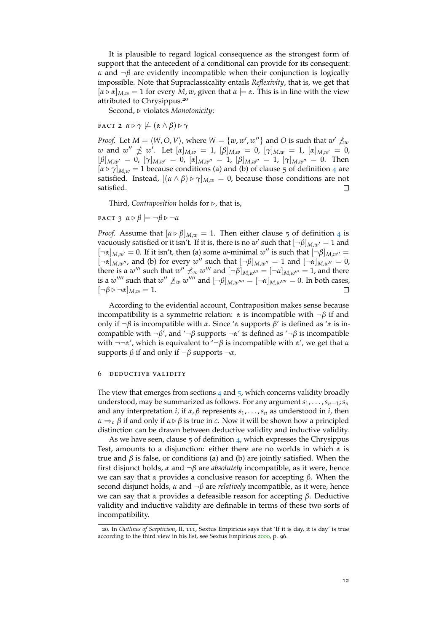It is plausible to regard logical consequence as the strongest form of support that the antecedent of a conditional can provide for its consequent: *α* and ¬*β* are evidently incompatible when their conjunction is logically impossible. Note that Supraclassicality entails *Reflexivity*, that is, we get that  $[\alpha \triangleright \alpha]_{M,w} = 1$  for every *M*, *w*, given that  $\alpha \models \alpha$ . This is in line with the view attributed to Chrysippus.<sup>20</sup>

Second, ▷ violates *Monotonicity*:

<span id="page-11-1"></span>**FACT 2**  $\alpha \triangleright \gamma \not\models (\alpha \land \beta) \triangleright \gamma$ 

*Proof.* Let  $M = \langle W, O, V \rangle$ , where  $W = \{w, w', w''\}$  and  $O$  is such that  $w' \npreceq_{w} V$ *w* and  $w'' \nleq w'$ . Let  $[\alpha]_{M,w} = 1$ ,  $[\beta]_{M,w} = 0$ ,  $[\gamma]_{M,w} = 1$ ,  $[\alpha]_{M,w'} = 0$ ,  $[\beta]_{M,w'} = 0$ ,  $[\gamma]_{M,w'} = 0$ ,  $[\alpha]_{M,w''} = 1$ ,  $[\beta]_{M,w''} = 1$ ,  $[\gamma]_{M,w''} = 0$ . Then  $[\alpha \triangleright \gamma]_{M,w} = 1$  because conditions (a) and (b) of clause 5 of definition [4](#page-0-1) are satisfied. Instead,  $[(\alpha \wedge \beta) \triangleright \gamma]_{M,w} = 0$ , because those conditions are not satisfied.  $\Box$ 

Third, *Contraposition* holds for ▷, that is,

<span id="page-11-2"></span> $FACT 3$   $\alpha \triangleright \beta \models \neg \beta \triangleright \neg \alpha$ 

*Proof.* Assume that  $\left[\alpha \triangleright \beta\right]_{M,w} = 1$ . Then either clause 5 of definition [4](#page-0-1) is vacuously satisfied or it isn't. If it is, there is no  $w'$  such that  $[\neg \beta]_{M,w'} = 1$  and  $[\neg \alpha]_{M,w'} = 0$ . If it isn't, then (a) some *w*-minimal *w*'' is such that  $[\neg \beta]_{M,w''} =$  $\left[\neg \alpha\right]_{M,w''}$ , and (b) for every  $w''$  such that  $\left[\neg \beta\right]_{M,w''}=1$  and  $\left[\neg \alpha\right]_{M,w''}=0$ , there is a  $w'''$  such that  $w'' \nleq_{w} w'''$  and  $[\neg \beta]_{M,w'''} = [\neg \alpha]_{M,w'''} = 1$ , and there is a  $w''''$  such that  $w'' \nleq w$   $w''''$  and  $[\neg \beta]_{M,w''''} = [\neg \alpha]_{M,w''''} = 0$ . In both cases,  $\lbrack \neg \beta \triangleright \neg \alpha \rbrack_{M,w} = 1.$  $\Box$ 

According to the evidential account, Contraposition makes sense because incompatibility is a symmetric relation: *α* is incompatible with ¬*β* if and only if ¬*β* is incompatible with *α*. Since '*α* supports *β*' is defined as '*α* is incompatible with ¬*β*', and '¬*β* supports ¬*α*' is defined as '¬*β* is incompatible with ¬¬*α*', which is equivalent to '¬*β* is incompatible with *α*', we get that *α* supports *β* if and only if  $\neg β$  supports  $\neg α$ .

## <span id="page-11-0"></span>6 deductive validity

The view that emerges from sections  $4$  and  $5$ , which concerns validity broadly understood, may be summarized as follows. For any argument *s*1, . . . ,*sn*−1;*s<sup>n</sup>* and any interpretation *i*, if *α*, *β* represents *s*1, . . . ,*s<sup>n</sup>* as understood in *i*, then *α*  $\Rightarrow$  *ε β* if and only if *α* ⊳ *β* is true in *c*. Now it will be shown how a principled distinction can be drawn between deductive validity and inductive validity.

As we have seen, clause 5 of definition [4](#page-0-1), which expresses the Chrysippus Test, amounts to a disjunction: either there are no worlds in which *α* is true and *β* is false, or conditions (a) and (b) are jointly satisfied. When the first disjunct holds, *α* and ¬*β* are *absolutely* incompatible, as it were, hence we can say that *α* provides a conclusive reason for accepting *β*. When the second disjunct holds, *α* and ¬*β* are *relatively* incompatible, as it were, hence we can say that *α* provides a defeasible reason for accepting *β*. Deductive validity and inductive validity are definable in terms of these two sorts of incompatibility.

<sup>20</sup>. In *Outlines of Scepticism*, II, 111, Sextus Empiricus says that 'If it is day, it is day' is true according to the third view in his list, see Sextus Empiricus [2000](#page-18-1), p. 96.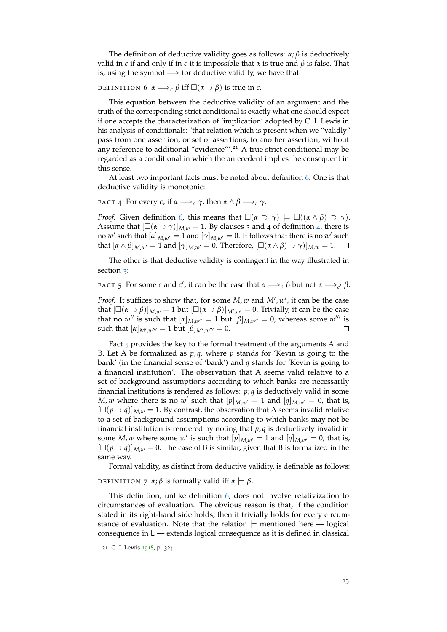The definition of deductive validity goes as follows:  $\alpha$ ;  $\beta$  is deductively valid in *c* if and only if in *c* it is impossible that *α* is true and *β* is false. That is, using the symbol  $\implies$  for deductive validity, we have that

<span id="page-12-0"></span>DEFINITION 6  $\alpha \Longrightarrow_c \beta$  iff  $\square(\alpha \supset \beta)$  is true in *c*.

This equation between the deductive validity of an argument and the truth of the corresponding strict conditional is exactly what one should expect if one accepts the characterization of 'implication' adopted by C. I. Lewis in his analysis of conditionals: 'that relation which is present when we "validly" pass from one assertion, or set of assertions, to another assertion, without any reference to additional "evidence"'.<sup>21</sup> A true strict conditional may be regarded as a conditional in which the antecedent implies the consequent in this sense.

At least two important facts must be noted about definition [6](#page-12-0). One is that deductive validity is monotonic:

**FACT** 4 For every *c*, if  $\alpha \Longrightarrow_c \gamma$ , then  $\alpha \land \beta \Longrightarrow_c \gamma$ .

*Proof.* Given definition [6](#page-12-0), this means that  $\square(\alpha \supset \gamma) \models \square((\alpha \wedge \beta) \supset \gamma)$ . Assume that  $[\Box(\alpha \supset \gamma)]_{M,w} = 1$ . By clauses 3 and [4](#page-0-1) of definition 4, there is no  $w'$  such that  $[\alpha]_{M,w'} = 1$  and  $[\gamma]_{M,w'} = 0$ . It follows that there is no  $w'$  such that  $[\alpha \wedge \beta]_{M,w'} = 1$  and  $[\gamma]_{M,w'} = 0$ . Therefore,  $[\Box(\alpha \wedge \beta) \supset \gamma]_{M,w} = 1$ .  $\Box$ 

The other is that deductive validity is contingent in the way illustrated in section [3](#page-4-0):

<span id="page-12-1"></span>FACT 5 For some *c* and *c'*, it can be the case that  $\alpha \Longrightarrow_c \beta$  but not  $\alpha \Longrightarrow_{c'} \beta$ .

*Proof.* It suffices to show that, for some *M*, *w* and *M'*, *w'*, it can be the case that  $[\Box(\alpha \supset \beta)]_{M,w} = 1$  but  $[\Box(\alpha \supset \beta)]_{M',w'} = 0$ . Trivially, it can be the case that no *w*<sup>''</sup> is such that  $[\alpha]_{M,w''} = 1$  but  $[\beta]_{M,w''} = 0$ , whereas some *w*''' is  ${\rm such\ that\ } [\alpha]_{M',w'''}=1{\rm\ but\ } [\beta]_{M',w'''}=0.$  $\Box$ 

Fact [5](#page-12-1) provides the key to the formal treatment of the arguments A and B. Let A be formalized as *p*; *q*, where *p* stands for 'Kevin is going to the bank' (in the financial sense of 'bank') and *q* stands for 'Kevin is going to a financial institution'. The observation that A seems valid relative to a set of background assumptions according to which banks are necessarily financial institutions is rendered as follows: *p*; *q* is deductively valid in some *M*, *w* where there is no *w*<sup> $\prime$ </sup> such that  $[p]_{M,w'} = 1$  and  $[q]_{M,w'} = 0$ , that is,  $[\Box(p \supset q)]_{M,w} = 1$ . By contrast, the observation that A seems invalid relative to a set of background assumptions according to which banks may not be financial institution is rendered by noting that *p*; *q* is deductively invalid in some *M*, *w* where some *w'* is such that  $[p]_{M,w'} = 1$  and  $[q]_{M,w'} = 0$ , that is,  $[\Box(p \supset q)]_{M,w} = 0$ . The case of B is similar, given that B is formalized in the same way.

Formal validity, as distinct from deductive validity, is definable as follows:

<span id="page-12-2"></span>DEFINITION 7  $\alpha$ ;  $\beta$  is formally valid iff  $\alpha \models \beta$ .

This definition, unlike definition [6](#page-12-0), does not involve relativization to circumstances of evaluation. The obvious reason is that, if the condition stated in its right-hand side holds, then it trivially holds for every circumstance of evaluation. Note that the relation  $\models$  mentioned here  $\boldsymbol{v}$  logical consequence in L — extends logical consequence as it is defined in classical

<sup>21</sup>. C. I. Lewis [1918](#page-17-19), p. 324.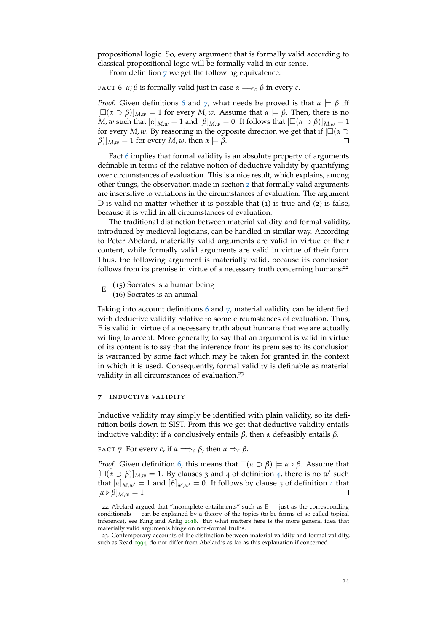propositional logic. So, every argument that is formally valid according to classical propositional logic will be formally valid in our sense.

From definition  $7$  we get the following equivalence:

<span id="page-13-1"></span>**FACT** 6 *α*; *β* is formally valid just in case  $α \implies c$  *β* in every *c*.

*Proof.* Given definitions [6](#page-12-0) and [7](#page-12-2), what needs be proved is that  $\alpha \models \beta$  iff  $[\Box(\alpha \supset \beta)]_{M,w} = 1$  for every *M*, *w*. Assume that  $\alpha \models \beta$ . Then, there is no *M*, *w* such that  $[\alpha]_{M,w} = 1$  and  $[\beta]_{M,w} = 0$ . It follows that  $[\Box(\alpha \supset \beta)]_{M,w} = 1$ for every *M*, *w*. By reasoning in the opposite direction we get that if  $\Box(\alpha \supset$  $(\beta)|_{M,w} = 1$  for every *M*, *w*, then  $\alpha \models \beta$ .  $\Box$ 

Fact [6](#page-13-1) implies that formal validity is an absolute property of arguments definable in terms of the relative notion of deductive validity by quantifying over circumstances of evaluation. This is a nice result, which explains, among other things, the observation made in section [2](#page-2-0) that formally valid arguments are insensitive to variations in the circumstances of evaluation. The argument D is valid no matter whether it is possible that (1) is true and (2) is false, because it is valid in all circumstances of evaluation.

The traditional distinction between material validity and formal validity, introduced by medieval logicians, can be handled in similar way. According to Peter Abelard, materially valid arguments are valid in virtue of their content, while formally valid arguments are valid in virtue of their form. Thus, the following argument is materially valid, because its conclusion follows from its premise in virtue of a necessary truth concerning humans:<sup>22</sup>

 $E = \frac{(15) \text{ Socrates is a human being}}{(66) \text{ Socrates is an animal}}$ (16) Socrates is an animal

Taking into account definitions [6](#page-12-0) and [7](#page-12-2), material validity can be identified with deductive validity relative to some circumstances of evaluation. Thus, E is valid in virtue of a necessary truth about humans that we are actually willing to accept. More generally, to say that an argument is valid in virtue of its content is to say that the inference from its premises to its conclusion is warranted by some fact which may be taken for granted in the context in which it is used. Consequently, formal validity is definable as material validity in all circumstances of evaluation.<sup>23</sup>

#### <span id="page-13-0"></span>7 inductive validity

Inductive validity may simply be identified with plain validity, so its definition boils down to SIST. From this we get that deductive validity entails inductive validity: if *α* conclusively entails *β*, then *α* defeasibly entails *β*.

<span id="page-13-2"></span>**FACT** 7 For every *c*, if  $\alpha \Longrightarrow_c \beta$ , then  $\alpha \Rightarrow_c \beta$ .

*Proof.* Given definition [6](#page-12-0), this means that  $\square(\alpha \supset \beta) \models \alpha \triangleright \beta$ . Assume that  $[\Box(\alpha \supset \beta)]_{M,w} = 1$ . By clauses 3 and [4](#page-0-1) of definition 4, there is no *w'* such that  $[\alpha]_{M,w'} = 1$  and  $[\beta]_{M,w'} = 0$ . It follows by clause 5 of definition [4](#page-0-1) that  $[\alpha \triangleright \beta]_{M,w} = 1.$ 

<sup>22.</sup> Abelard argued that "incomplete entailments" such as  $E -$  just as the corresponding conditionals — can be explained by a theory of the topics (to be forms of so-called topical inference), see King and Arlig [2018](#page-17-20). But what matters here is the more general idea that materially valid arguments hinge on non-formal truths.

<sup>23</sup>. Contemporary accounts of the distinction between material validity and formal validity, such as Read [1994](#page-17-21), do not differ from Abelard's as far as this explanation if concerned.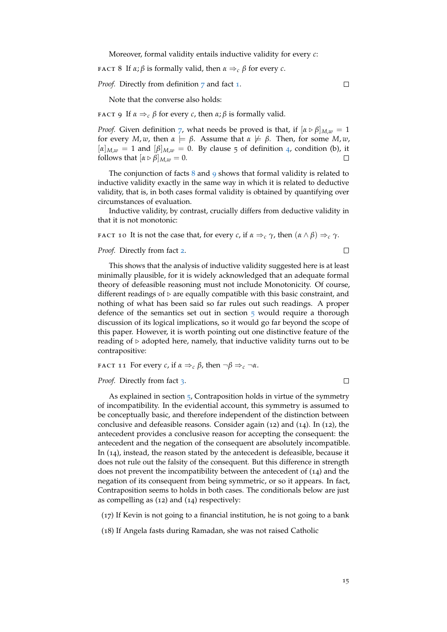Moreover, formal validity entails inductive validity for every *c*:

<span id="page-14-0"></span>**FACT 8** If  $\alpha$ ;  $\beta$  is formally valid, then  $\alpha \Rightarrow_c \beta$  for every *c*.

*Proof.* Directly from definition [7](#page-12-2) and fact [1](#page-10-0).

Note that the converse also holds:

<span id="page-14-1"></span>**FACT** 9 If  $\alpha \Rightarrow_c \beta$  for every *c*, then  $\alpha$ ;  $\beta$  is formally valid.

*Proof.* Given definition [7](#page-12-2), what needs be proved is that, if  $[\alpha \triangleright \beta]_{M,w} = 1$ for every *M*, *w*, then  $\alpha \models \beta$ . Assume that  $\alpha \not\models \beta$ . Then, for some *M*, *w*,  $[\alpha]_{M,w} = 1$  and  $[\beta]_{M,w} = 0$ . By clause 5 of definition [4](#page-0-1), condition (b), it follows that  $[\alpha \triangleright \beta]_{M,w} = 0$ .  $\Box$ 

The conjunction of facts  $8$  and  $9$  shows that formal validity is related to inductive validity exactly in the same way in which it is related to deductive validity, that is, in both cases formal validity is obtained by quantifying over circumstances of evaluation.

Inductive validity, by contrast, crucially differs from deductive validity in that it is not monotonic:

<span id="page-14-2"></span>**FACT 10** It is not the case that, for every *c*, if  $\alpha \Rightarrow_c \gamma$ , then  $(\alpha \land \beta) \Rightarrow_c \gamma$ .

*Proof.* Directly from fact [2](#page-11-1).

 $\Box$ 

 $\Box$ 

This shows that the analysis of inductive validity suggested here is at least minimally plausible, for it is widely acknowledged that an adequate formal theory of defeasible reasoning must not include Monotonicity. Of course, different readings of  $\triangleright$  are equally compatible with this basic constraint, and nothing of what has been said so far rules out such readings. A proper defence of the semantics set out in section [5](#page-8-0) would require a thorough discussion of its logical implications, so it would go far beyond the scope of this paper. However, it is worth pointing out one distinctive feature of the reading of  $\triangleright$  adopted here, namely, that inductive validity turns out to be contrapositive:

**fact** 11 For every *c*, if  $\alpha \Rightarrow_c \beta$ , then  $\neg \beta \Rightarrow_c \neg \alpha$ .

*Proof.* Directly from fact [3](#page-11-2).

 $\Box$ 

As explained in section  $\frac{1}{2}$ , Contraposition holds in virtue of the symmetry of incompatibility. In the evidential account, this symmetry is assumed to be conceptually basic, and therefore independent of the distinction between conclusive and defeasible reasons. Consider again (12) and (14). In (12), the antecedent provides a conclusive reason for accepting the consequent: the antecedent and the negation of the consequent are absolutely incompatible. In (14), instead, the reason stated by the antecedent is defeasible, because it does not rule out the falsity of the consequent. But this difference in strength does not prevent the incompatibility between the antecedent of (14) and the negation of its consequent from being symmetric, or so it appears. In fact, Contraposition seems to holds in both cases. The conditionals below are just as compelling as (12) and (14) respectively:

(17) If Kevin is not going to a financial institution, he is not going to a bank

(18) If Angela fasts during Ramadan, she was not raised Catholic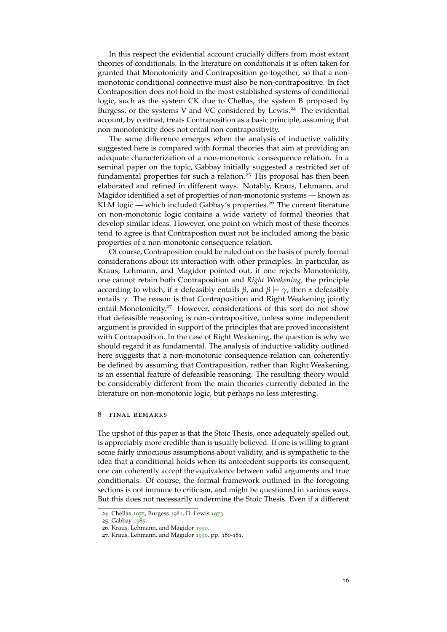In this respect the evidential account crucially differs from most extant theories of conditionals. In the literature on conditionals it is often taken for granted that Monotonicity and Contraposition go together, so that a nonmonotonic conditional connective must also be non-contrapositive. In fact Contraposition does not hold in the most established systems of conditional logic, such as the system CK due to Chellas, the system B proposed by Burgess, or the systems V and VC considered by Lewis.<sup>24</sup> The evidential account, by contrast, treats Contraposition as a basic principle, assuming that non-monotonicity does not entail non-contrapositivity.

The same difference emerges when the analysis of inductive validity suggested here is compared with formal theories that aim at providing an adequate characterization of a non-monotonic consequence relation. In a seminal paper on the topic, Gabbay initially suggested a restricted set of fundamental properties for such a relation.<sup>25</sup> His proposal has then been elaborated and refined in different ways. Notably, Kraus, Lehmann, and Magidor identified a set of properties of non-monotonic systems — known as KLM logic — which included Gabbay's properties.<sup>26</sup> The current literature on non-monotonic logic contains a wide variety of formal theories that develop similar ideas. However, one point on which most of these theories tend to agree is that Contrapostion must not be included among the basic properties of a non-monotonic consequence relation.

Of course, Contraposition could be ruled out on the basis of purely formal considerations about its interaction with other principles. In particular, as Kraus, Lehmann, and Magidor pointed out, if one rejects Monotonicity, one cannot retain both Contraposition and *Right Weakening*, the principle according to which, if *α* defeasibly entails *β*, and *β* |= *γ*, then *α* defeasibly entails *γ*. The reason is that Contraposition and Right Weakening jointly entail Monotonicity.<sup>27</sup> However, considerations of this sort do not show that defeasible reasoning is non-contrapositive, unless some independent argument is provided in support of the principles that are proved inconsistent with Contraposition. In the case of Right Weakening, the question is why we should regard it as fundamental. The analysis of inductive validity outlined here suggests that a non-monotonic consequence relation can coherently be defined by assuming that Contraposition, rather than Right Weakening, is an essential feature of defeasible reasoning. The resulting theory would be considerably different from the main theories currently debated in the literature on non-monotonic logic, but perhaps no less interesting.

## <span id="page-15-0"></span>8 final remarks

The upshot of this paper is that the Stoic Thesis, once adequately spelled out, is appreciably more credible than is usually believed. If one is willing to grant some fairly innocuous assumptions about validity, and is sympathetic to the idea that a conditional holds when its antecedent supports its consequent, one can coherently accept the equivalence between valid arguments and true conditionals. Of course, the formal framework outlined in the foregoing sections is not immune to criticism, and might be questioned in various ways. But this does not necessarily undermine the Stoic Thesis. Even if a different

<sup>24</sup>. Chellas [1975](#page-16-3), Burgess [1981](#page-16-4), D. Lewis [1973](#page-17-5).

<sup>25</sup>. Gabbay [1985](#page-17-22).

<sup>26</sup>. Kraus, Lehmann, and Magidor [1990](#page-17-23).

<sup>27</sup>. Kraus, Lehmann, and Magidor [1990](#page-17-23), pp. 180-181.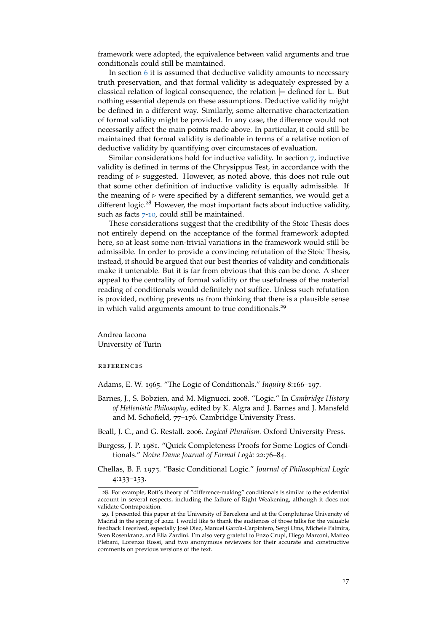framework were adopted, the equivalence between valid arguments and true conditionals could still be maintained.

In section [6](#page-11-0) it is assumed that deductive validity amounts to necessary truth preservation, and that formal validity is adequately expressed by a classical relation of logical consequence, the relation  $\models$  defined for L. But nothing essential depends on these assumptions. Deductive validity might be defined in a different way. Similarly, some alternative characterization of formal validity might be provided. In any case, the difference would not necessarily affect the main points made above. In particular, it could still be maintained that formal validity is definable in terms of a relative notion of deductive validity by quantifying over circumstaces of evaluation.

Similar considerations hold for inductive validity. In section  $\overline{7}$  $\overline{7}$  $\overline{7}$ , inductive validity is defined in terms of the Chrysippus Test, in accordance with the reading of  $\triangleright$  suggested. However, as noted above, this does not rule out that some other definition of inductive validity is equally admissible. If the meaning of  $\triangleright$  were specified by a different semantics, we would get a different logic.<sup>28</sup> However, the most important facts about inductive validity, such as facts [7](#page-13-2)-[10](#page-14-2), could still be maintained.

These considerations suggest that the credibility of the Stoic Thesis does not entirely depend on the acceptance of the formal framework adopted here, so at least some non-trivial variations in the framework would still be admissible. In order to provide a convincing refutation of the Stoic Thesis, instead, it should be argued that our best theories of validity and conditionals make it untenable. But it is far from obvious that this can be done. A sheer appeal to the centrality of formal validity or the usefulness of the material reading of conditionals would definitely not suffice. Unless such refutation is provided, nothing prevents us from thinking that there is a plausible sense in which valid arguments amount to true conditionals.<sup>29</sup>

Andrea Iacona University of Turin

references

<span id="page-16-1"></span>Adams, E. W. 1965. "The Logic of Conditionals." *Inquiry* 8:166–197.

- <span id="page-16-0"></span>Barnes, J., S. Bobzien, and M. Mignucci. 2008. "Logic." In *Cambridge History of Hellenistic Philosophy,* edited by K. Algra and J. Barnes and J. Mansfeld and M. Schofield, 77–176. Cambridge University Press.
- <span id="page-16-2"></span>Beall, J. C., and G. Restall. 2006. *Logical Pluralism.* Oxford University Press.
- <span id="page-16-4"></span>Burgess, J. P. 1981. "Quick Completeness Proofs for Some Logics of Conditionals." *Notre Dame Journal of Formal Logic* 22:76–84.
- <span id="page-16-3"></span>Chellas, B. F. 1975. "Basic Conditional Logic." *Journal of Philosophical Logic* 4:133–153.

<sup>28</sup>. For example, Rott's theory of "difference-making" conditionals is similar to the evidential account in several respects, including the failure of Right Weakening, although it does not validate Contraposition.

<sup>29</sup>. I presented this paper at the University of Barcelona and at the Complutense University of Madrid in the spring of 2022. I would like to thank the audiences of those talks for the valuable feedback I received, especially José Diez, Manuel García-Carpintero, Sergi Oms, Michele Palmira, Sven Rosenkranz, and Elia Zardini. I'm also very grateful to Enzo Crupi, Diego Marconi, Matteo Plebani, Lorenzo Rossi, and two anonymous reviewers for their accurate and constructive comments on previous versions of the text.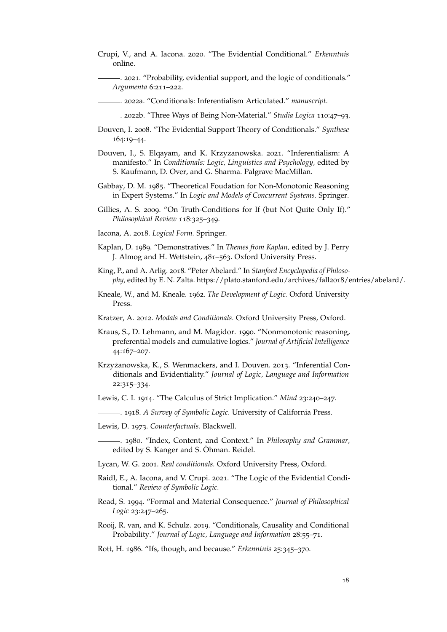<span id="page-17-10"></span>Crupi, V., and A. Iacona. 2020. "The Evidential Conditional." *Erkenntnis* online.

<span id="page-17-17"></span>. 2021. "Probability, evidential support, and the logic of conditionals." *Argumenta* 6:211–222.

- <span id="page-17-18"></span>. 2022a. "Conditionals: Inferentialism Articulated." *manuscript.*
- <span id="page-17-16"></span>. 2022b. "Three Ways of Being Non-Material." *Studia Logica* 110:47–93.
- <span id="page-17-7"></span>Douven, I. 2008. "The Evidential Support Theory of Conditionals." *Synthese* 164:19–44.
- <span id="page-17-11"></span>Douven, I., S. Elqayam, and K. Krzyzanowska. 2021. "Inferentialism: A manifesto." In *Conditionals: Logic, Linguistics and Psychology,* edited by S. Kaufmann, D. Over, and G. Sharma. Palgrave MacMillan.
- <span id="page-17-22"></span>Gabbay, D. M. 1985. "Theoretical Foudation for Non-Monotonic Reasoning in Expert Systems." In *Logic and Models of Concurrent Systems.* Springer.
- <span id="page-17-3"></span>Gillies, A. S. 2009. "On Truth-Conditions for If (but Not Quite Only If)." *Philosophical Review* 118:325–349.
- <span id="page-17-14"></span>Iacona, A. 2018. *Logical Form.* Springer.
- <span id="page-17-12"></span>Kaplan, D. 1989. "Demonstratives." In *Themes from Kaplan,* edited by J. Perry J. Almog and H. Wettstein, 481–563. Oxford University Press.
- <span id="page-17-20"></span>King, P., and A. Arlig. 2018. "Peter Abelard." In *Stanford Encyclopedia of Philosophy,* edited by E. N. Zalta. https://plato.stanford.edu/archives/fall2018/entries/abelard/.
- <span id="page-17-0"></span>Kneale, W., and M. Kneale. 1962. *The Development of Logic.* Oxford University Press.
- <span id="page-17-4"></span>Kratzer, A. 2012. *Modals and Conditionals.* Oxford University Press, Oxford.
- <span id="page-17-23"></span>Kraus, S., D. Lehmann, and M. Magidor. 1990. "Nonmonotonic reasoning, preferential models and cumulative logics." *Journal of Artificial Intelligence* 44:167–207.
- <span id="page-17-8"></span>Krzyżanowska, K., S. Wenmackers, and I. Douven. 2013. "Inferential Conditionals and Evidentiality." *Journal of Logic, Language and Information* 22:315–334.
- <span id="page-17-1"></span>Lewis, C. I. 1914. "The Calculus of Strict Implication." *Mind* 23:240–247.
- <span id="page-17-19"></span>. 1918. *A Survey of Symbolic Logic.* University of California Press.
- <span id="page-17-5"></span>Lewis, D. 1973. *Counterfactuals.* Blackwell.
- <span id="page-17-13"></span>. 1980. "Index, Content, and Context." In *Philosophy and Grammar,* edited by S. Kanger and S. Öhman. Reidel.
- <span id="page-17-2"></span>Lycan, W. G. 2001. *Real conditionals.* Oxford University Press, Oxford.
- <span id="page-17-15"></span>Raidl, E., A. Iacona, and V. Crupi. 2021. "The Logic of the Evidential Conditional." *Review of Symbolic Logic.*
- <span id="page-17-21"></span>Read, S. 1994. "Formal and Material Consequence." *Journal of Philosophical Logic* 23:247–265.
- <span id="page-17-9"></span>Rooij, R. van, and K. Schulz. 2019. "Conditionals, Causality and Conditional Probability." *Journal of Logic, Language and Information* 28:55–71.
- <span id="page-17-6"></span>Rott, H. 1986. "Ifs, though, and because." *Erkenntnis* 25:345–370.